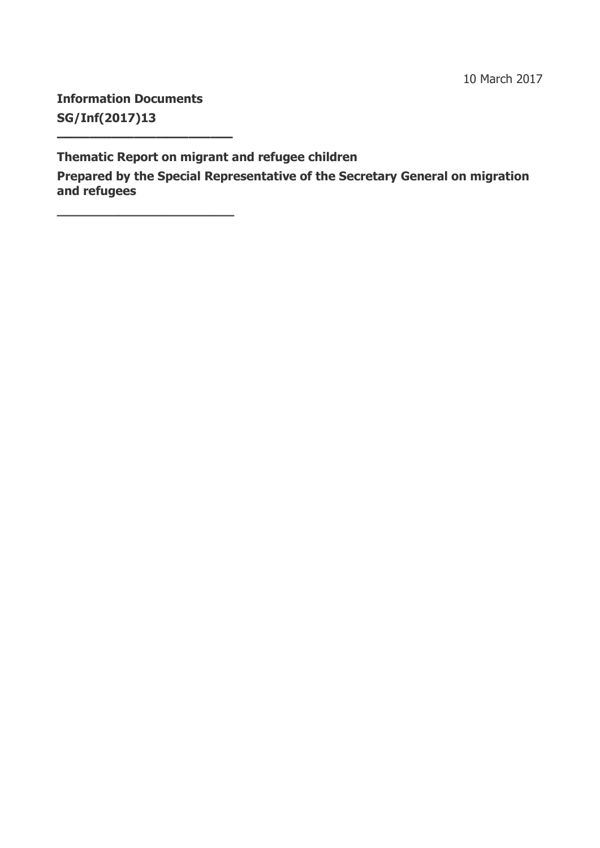10 March 2017

**Information Documents SG/Inf(2017)13**

**————————————————**

**\_\_\_\_\_\_\_\_\_\_\_\_\_\_\_\_\_\_\_\_\_\_\_**

**Thematic Report on migrant and refugee children**

**Prepared by the Special Representative of the Secretary General on migration and refugees**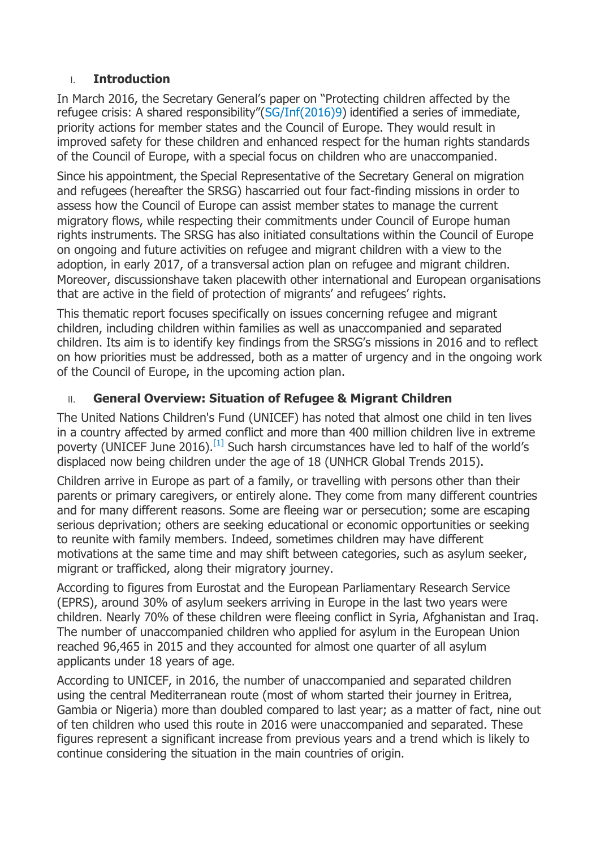### I. **Introduction**

In March 2016, the Secretary General's paper on "Protecting children affected by the refugee crisis: A shared responsibility"([SG/Inf\(2016\)9\)](https://search.coe.int/cm/Pages/result_details.aspx?Reference=SG/Inf(2016)9) identified a series of immediate, priority actions for member states and the Council of Europe. They would result in improved safety for these children and enhanced respect for the human rights standards of the Council of Europe, with a special focus on children who are unaccompanied.

Since his appointment, the Special Representative of the Secretary General on migration and refugees (hereafter the SRSG) hascarried out four fact-finding missions in order to assess how the Council of Europe can assist member states to manage the current migratory flows, while respecting their commitments under Council of Europe human rights instruments. The SRSG has also initiated consultations within the Council of Europe on ongoing and future activities on refugee and migrant children with a view to the adoption, in early 2017, of a transversal action plan on refugee and migrant children. Moreover, discussionshave taken placewith other international and European organisations that are active in the field of protection of migrants' and refugees' rights.

This thematic report focuses specifically on issues concerning refugee and migrant children, including children within families as well as unaccompanied and separated children. Its aim is to identify key findings from the SRSG's missions in 2016 and to reflect on how priorities must be addressed, both as a matter of urgency and in the ongoing work of the Council of Europe, in the upcoming action plan.

# II. **General Overview: Situation of Refugee & Migrant Children**

The United Nations Children's Fund (UNICEF) has noted that almost one child in ten lives in a country affected by armed conflict and more than 400 million children live in extreme poverty (UNICEF June 2016).<sup>[\[1\]](https://search.coe.int/cm/Pages/result_details.aspx?ObjectId=09000016806fdd08#_ftn1)</sup> Such harsh circumstances have led to half of the world's displaced now being children under the age of 18 (UNHCR Global Trends 2015).

Children arrive in Europe as part of a family, or travelling with persons other than their parents or primary caregivers, or entirely alone. They come from many different countries and for many different reasons. Some are fleeing war or persecution; some are escaping serious deprivation; others are seeking educational or economic opportunities or seeking to reunite with family members. Indeed, sometimes children may have different motivations at the same time and may shift between categories, such as asylum seeker, migrant or trafficked, along their migratory journey.

According to figures from Eurostat and the European Parliamentary Research Service (EPRS), around 30% of asylum seekers arriving in Europe in the last two years were children. Nearly 70% of these children were fleeing conflict in Syria, Afghanistan and Iraq. The number of unaccompanied children who applied for asylum in the European Union reached 96,465 in 2015 and they accounted for almost one quarter of all asylum applicants under 18 years of age.

According to UNICEF, in 2016, the number of unaccompanied and separated children using the central Mediterranean route (most of whom started their journey in Eritrea, Gambia or Nigeria) more than doubled compared to last year; as a matter of fact, nine out of ten children who used this route in 2016 were unaccompanied and separated. These figures represent a significant increase from previous years and a trend which is likely to continue considering the situation in the main countries of origin.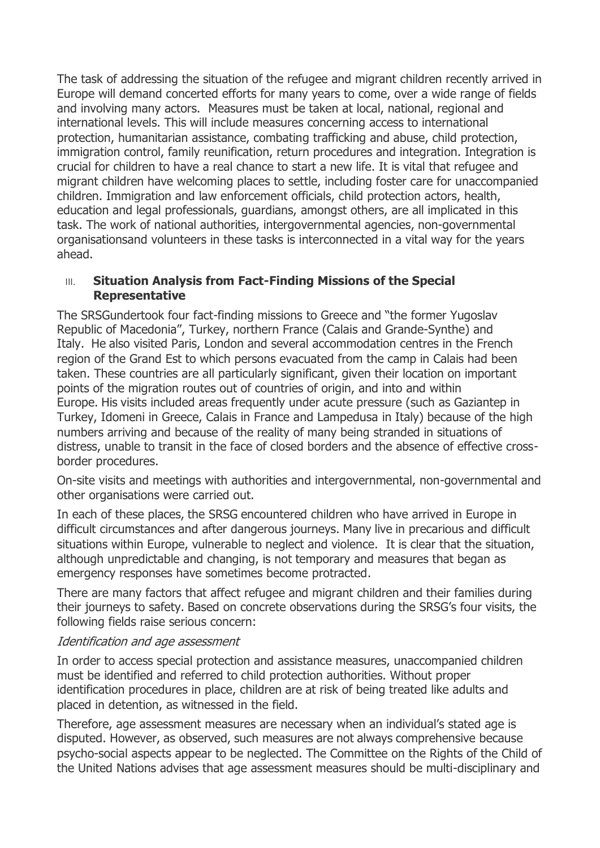The task of addressing the situation of the refugee and migrant children recently arrived in Europe will demand concerted efforts for many years to come, over a wide range of fields and involving many actors. Measures must be taken at local, national, regional and international levels. This will include measures concerning access to international protection, humanitarian assistance, combating trafficking and abuse, child protection, immigration control, family reunification, return procedures and integration. Integration is crucial for children to have a real chance to start a new life. It is vital that refugee and migrant children have welcoming places to settle, including foster care for unaccompanied children. Immigration and law enforcement officials, child protection actors, health, education and legal professionals, guardians, amongst others, are all implicated in this task. The work of national authorities, intergovernmental agencies, non-governmental organisationsand volunteers in these tasks is interconnected in a vital way for the years ahead.

#### **III.** Situation Analysis from Fact-Finding Missions of the Special **Representative**

The SRSGundertook four fact-finding missions to Greece and "the former Yugoslav Republic of Macedonia", Turkey, northern France (Calais and Grande-Synthe) and Italy. He also visited Paris, London and several accommodation centres in the French region of the Grand Est to which persons evacuated from the camp in Calais had been taken. These countries are all particularly significant, given their location on important points of the migration routes out of countries of origin, and into and within Europe. His visits included areas frequently under acute pressure (such as Gaziantep in Turkey, Idomeni in Greece, Calais in France and Lampedusa in Italy) because of the high numbers arriving and because of the reality of many being stranded in situations of distress, unable to transit in the face of closed borders and the absence of effective crossborder procedures.

On-site visits and meetings with authorities and intergovernmental, non-governmental and other organisations were carried out.

In each of these places, the SRSG encountered children who have arrived in Europe in difficult circumstances and after dangerous journeys. Many live in precarious and difficult situations within Europe, vulnerable to neglect and violence. It is clear that the situation, although unpredictable and changing, is not temporary and measures that began as emergency responses have sometimes become protracted.

There are many factors that affect refugee and migrant children and their families during their journeys to safety. Based on concrete observations during the SRSG's four visits, the following fields raise serious concern:

#### Identification and age assessment

In order to access special protection and assistance measures, unaccompanied children must be identified and referred to child protection authorities. Without proper identification procedures in place, children are at risk of being treated like adults and placed in detention, as witnessed in the field.

Therefore, age assessment measures are necessary when an individual's stated age is disputed. However, as observed, such measures are not always comprehensive because psycho-social aspects appear to be neglected. The Committee on the Rights of the Child of the United Nations advises that age assessment measures should be multi-disciplinary and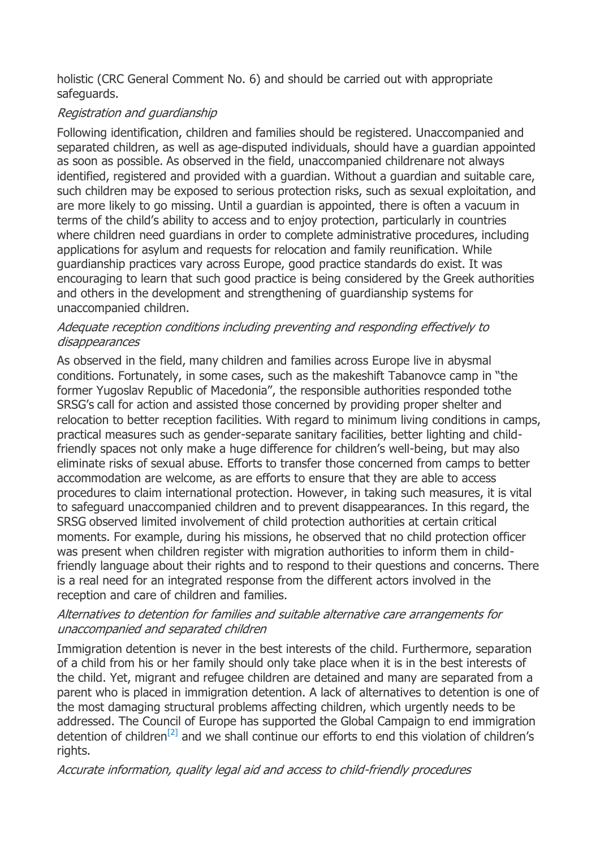holistic (CRC General Comment No. 6) and should be carried out with appropriate safeguards.

# Registration and guardianship

Following identification, children and families should be registered. Unaccompanied and separated children, as well as age-disputed individuals, should have a guardian appointed as soon as possible. As observed in the field, unaccompanied childrenare not always identified, registered and provided with a guardian. Without a guardian and suitable care, such children may be exposed to serious protection risks, such as sexual exploitation, and are more likely to go missing. Until a guardian is appointed, there is often a vacuum in terms of the child's ability to access and to enjoy protection, particularly in countries where children need guardians in order to complete administrative procedures, including applications for asylum and requests for relocation and family reunification. While guardianship practices vary across Europe, good practice standards do exist. It was encouraging to learn that such good practice is being considered by the Greek authorities and others in the development and strengthening of guardianship systems for unaccompanied children.

# Adequate reception conditions including preventing and responding effectively to disappearances

As observed in the field, many children and families across Europe live in abysmal conditions. Fortunately, in some cases, such as the makeshift Tabanovce camp in "the former Yugoslav Republic of Macedonia", the responsible authorities responded tothe SRSG's call for action and assisted those concerned by providing proper shelter and relocation to better reception facilities. With regard to minimum living conditions in camps, practical measures such as gender-separate sanitary facilities, better lighting and childfriendly spaces not only make a huge difference for children's well-being, but may also eliminate risks of sexual abuse. Efforts to transfer those concerned from camps to better accommodation are welcome, as are efforts to ensure that they are able to access procedures to claim international protection. However, in taking such measures, it is vital to safeguard unaccompanied children and to prevent disappearances. In this regard, the SRSG observed limited involvement of child protection authorities at certain critical moments. For example, during his missions, he observed that no child protection officer was present when children register with migration authorities to inform them in childfriendly language about their rights and to respond to their questions and concerns. There is a real need for an integrated response from the different actors involved in the reception and care of children and families.

### Alternatives to detention for families and suitable alternative care arrangements for unaccompanied and separated children

Immigration detention is never in the best interests of the child. Furthermore, separation of a child from his or her family should only take place when it is in the best interests of the child. Yet, migrant and refugee children are detained and many are separated from a parent who is placed in immigration detention. A lack of alternatives to detention is one of the most damaging structural problems affecting children, which urgently needs to be addressed. The Council of Europe has supported the Global Campaign to end immigration detention of children<sup>[\[2\]](https://search.coe.int/cm/Pages/result_details.aspx?ObjectId=09000016806fdd08#_ftn2)</sup> and we shall continue our efforts to end this violation of children's rights.

# Accurate information, quality legal aid and access to child-friendly procedures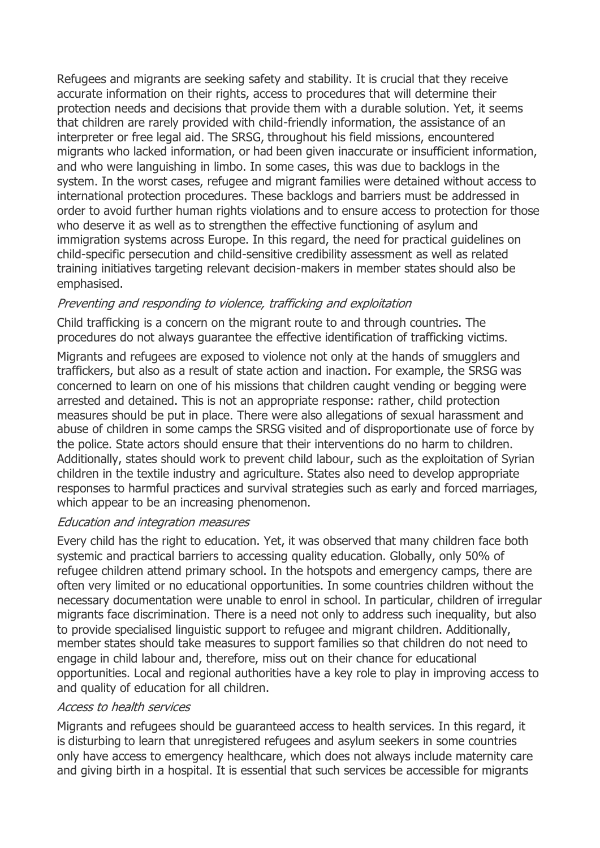Refugees and migrants are seeking safety and stability. It is crucial that they receive accurate information on their rights, access to procedures that will determine their protection needs and decisions that provide them with a durable solution. Yet, it seems that children are rarely provided with child-friendly information, the assistance of an interpreter or free legal aid. The SRSG, throughout his field missions, encountered migrants who lacked information, or had been given inaccurate or insufficient information, and who were languishing in limbo. In some cases, this was due to backlogs in the system. In the worst cases, refugee and migrant families were detained without access to international protection procedures. These backlogs and barriers must be addressed in order to avoid further human rights violations and to ensure access to protection for those who deserve it as well as to strengthen the effective functioning of asylum and immigration systems across Europe. In this regard, the need for practical guidelines on child-specific persecution and child-sensitive credibility assessment as well as related training initiatives targeting relevant decision-makers in member states should also be emphasised.

### Preventing and responding to violence, trafficking and exploitation

Child trafficking is a concern on the migrant route to and through countries. The procedures do not always guarantee the effective identification of trafficking victims.

Migrants and refugees are exposed to violence not only at the hands of smugglers and traffickers, but also as a result of state action and inaction. For example, the SRSG was concerned to learn on one of his missions that children caught vending or begging were arrested and detained. This is not an appropriate response: rather, child protection measures should be put in place. There were also allegations of sexual harassment and abuse of children in some camps the SRSG visited and of disproportionate use of force by the police. State actors should ensure that their interventions do no harm to children. Additionally, states should work to prevent child labour, such as the exploitation of Syrian children in the textile industry and agriculture. States also need to develop appropriate responses to harmful practices and survival strategies such as early and forced marriages, which appear to be an increasing phenomenon.

#### Education and integration measures

Every child has the right to education. Yet, it was observed that many children face both systemic and practical barriers to accessing quality education. Globally, only 50% of refugee children attend primary school. In the hotspots and emergency camps, there are often very limited or no educational opportunities. In some countries children without the necessary documentation were unable to enrol in school. In particular, children of irregular migrants face discrimination. There is a need not only to address such inequality, but also to provide specialised linguistic support to refugee and migrant children. Additionally, member states should take measures to support families so that children do not need to engage in child labour and, therefore, miss out on their chance for educational opportunities. Local and regional authorities have a key role to play in improving access to and quality of education for all children.

#### Access to health services

Migrants and refugees should be guaranteed access to health services. In this regard, it is disturbing to learn that unregistered refugees and asylum seekers in some countries only have access to emergency healthcare, which does not always include maternity care and giving birth in a hospital. It is essential that such services be accessible for migrants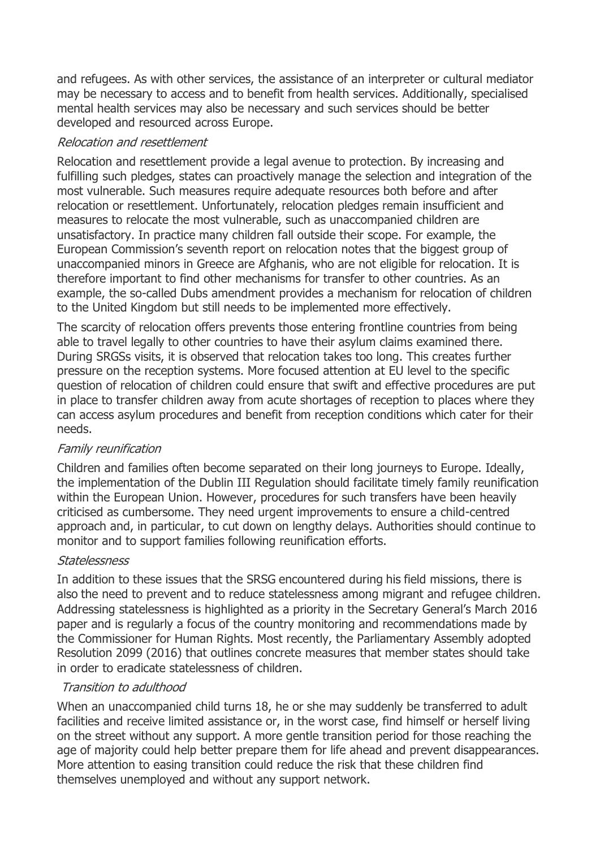and refugees. As with other services, the assistance of an interpreter or cultural mediator may be necessary to access and to benefit from health services. Additionally, specialised mental health services may also be necessary and such services should be better developed and resourced across Europe.

### Relocation and resettlement

Relocation and resettlement provide a legal avenue to protection. By increasing and fulfilling such pledges, states can proactively manage the selection and integration of the most vulnerable. Such measures require adequate resources both before and after relocation or resettlement. Unfortunately, relocation pledges remain insufficient and measures to relocate the most vulnerable, such as unaccompanied children are unsatisfactory. In practice many children fall outside their scope. For example, the European Commission's seventh report on relocation notes that the biggest group of unaccompanied minors in Greece are Afghanis, who are not eligible for relocation. It is therefore important to find other mechanisms for transfer to other countries. As an example, the so-called Dubs amendment provides a mechanism for relocation of children to the United Kingdom but still needs to be implemented more effectively.

The scarcity of relocation offers prevents those entering frontline countries from being able to travel legally to other countries to have their asylum claims examined there. During SRGSs visits, it is observed that relocation takes too long. This creates further pressure on the reception systems. More focused attention at EU level to the specific question of relocation of children could ensure that swift and effective procedures are put in place to transfer children away from acute shortages of reception to places where they can access asylum procedures and benefit from reception conditions which cater for their needs.

#### Family reunification

Children and families often become separated on their long journeys to Europe. Ideally, the implementation of the Dublin III Regulation should facilitate timely family reunification within the European Union. However, procedures for such transfers have been heavily criticised as cumbersome. They need urgent improvements to ensure a child-centred approach and, in particular, to cut down on lengthy delays. Authorities should continue to monitor and to support families following reunification efforts.

#### Statelessness

In addition to these issues that the SRSG encountered during his field missions, there is also the need to prevent and to reduce statelessness among migrant and refugee children. Addressing statelessness is highlighted as a priority in the Secretary General's March 2016 paper and is regularly a focus of the country monitoring and recommendations made by the Commissioner for Human Rights. Most recently, the Parliamentary Assembly adopted Resolution 2099 (2016) that outlines concrete measures that member states should take in order to eradicate statelessness of children.

# Transition to adulthood

When an unaccompanied child turns 18, he or she may suddenly be transferred to adult facilities and receive limited assistance or, in the worst case, find himself or herself living on the street without any support. A more gentle transition period for those reaching the age of majority could help better prepare them for life ahead and prevent disappearances. More attention to easing transition could reduce the risk that these children find themselves unemployed and without any support network.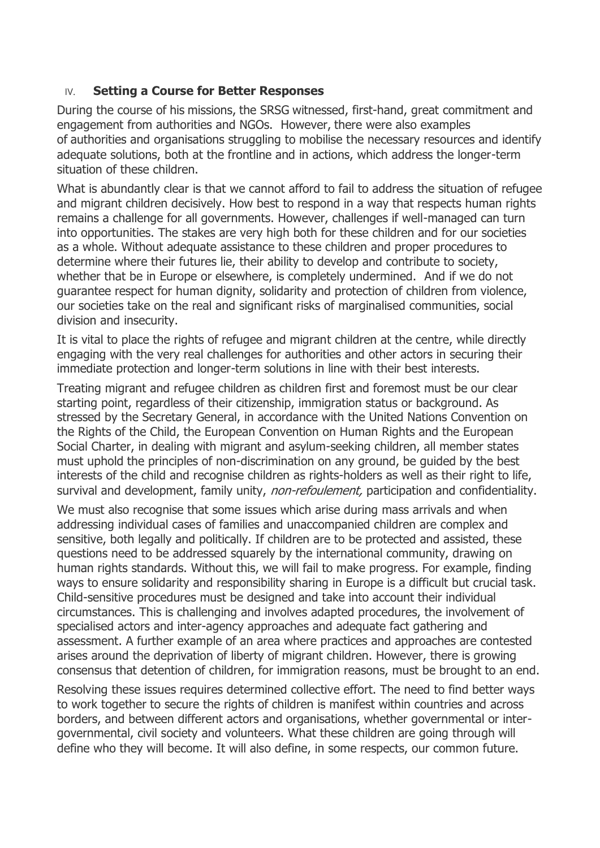#### IV. **Setting a Course for Better Responses**

During the course of his missions, the SRSG witnessed, first-hand, great commitment and engagement from authorities and NGOs. However, there were also examples of authorities and organisations struggling to mobilise the necessary resources and identify adequate solutions, both at the frontline and in actions, which address the longer-term situation of these children.

What is abundantly clear is that we cannot afford to fail to address the situation of refugee and migrant children decisively. How best to respond in a way that respects human rights remains a challenge for all governments. However, challenges if well-managed can turn into opportunities. The stakes are very high both for these children and for our societies as a whole. Without adequate assistance to these children and proper procedures to determine where their futures lie, their ability to develop and contribute to society, whether that be in Europe or elsewhere, is completely undermined. And if we do not guarantee respect for human dignity, solidarity and protection of children from violence, our societies take on the real and significant risks of marginalised communities, social division and insecurity.

It is vital to place the rights of refugee and migrant children at the centre, while directly engaging with the very real challenges for authorities and other actors in securing their immediate protection and longer-term solutions in line with their best interests.

Treating migrant and refugee children as children first and foremost must be our clear starting point, regardless of their citizenship, immigration status or background. As stressed by the Secretary General, in accordance with the United Nations Convention on the Rights of the Child, the European Convention on Human Rights and the European Social Charter, in dealing with migrant and asylum-seeking children, all member states must uphold the principles of non-discrimination on any ground, be guided by the best interests of the child and recognise children as rights-holders as well as their right to life, survival and development, family unity, non-refoulement, participation and confidentiality.

We must also recognise that some issues which arise during mass arrivals and when addressing individual cases of families and unaccompanied children are complex and sensitive, both legally and politically. If children are to be protected and assisted, these questions need to be addressed squarely by the international community, drawing on human rights standards. Without this, we will fail to make progress. For example, finding ways to ensure solidarity and responsibility sharing in Europe is a difficult but crucial task. Child-sensitive procedures must be designed and take into account their individual circumstances. This is challenging and involves adapted procedures, the involvement of specialised actors and inter-agency approaches and adequate fact gathering and assessment. A further example of an area where practices and approaches are contested arises around the deprivation of liberty of migrant children. However, there is growing consensus that detention of children, for immigration reasons, must be brought to an end.

Resolving these issues requires determined collective effort. The need to find better ways to work together to secure the rights of children is manifest within countries and across borders, and between different actors and organisations, whether governmental or intergovernmental, civil society and volunteers. What these children are going through will define who they will become. It will also define, in some respects, our common future.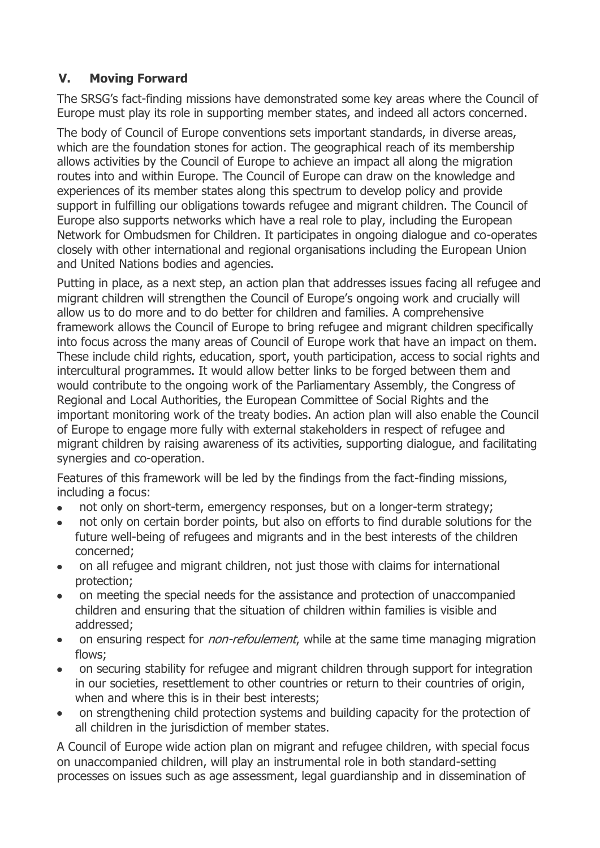# **V. Moving Forward**

The SRSG's fact-finding missions have demonstrated some key areas where the Council of Europe must play its role in supporting member states, and indeed all actors concerned.

The body of Council of Europe conventions sets important standards, in diverse areas, which are the foundation stones for action. The geographical reach of its membership allows activities by the Council of Europe to achieve an impact all along the migration routes into and within Europe. The Council of Europe can draw on the knowledge and experiences of its member states along this spectrum to develop policy and provide support in fulfilling our obligations towards refugee and migrant children. The Council of Europe also supports networks which have a real role to play, including the European Network for Ombudsmen for Children. It participates in ongoing dialogue and co-operates closely with other international and regional organisations including the European Union and United Nations bodies and agencies.

Putting in place, as a next step, an action plan that addresses issues facing all refugee and migrant children will strengthen the Council of Europe's ongoing work and crucially will allow us to do more and to do better for children and families. A comprehensive framework allows the Council of Europe to bring refugee and migrant children specifically into focus across the many areas of Council of Europe work that have an impact on them. These include child rights, education, sport, youth participation, access to social rights and intercultural programmes. It would allow better links to be forged between them and would contribute to the ongoing work of the Parliamentary Assembly, the Congress of Regional and Local Authorities, the European Committee of Social Rights and the important monitoring work of the treaty bodies. An action plan will also enable the Council of Europe to engage more fully with external stakeholders in respect of refugee and migrant children by raising awareness of its activities, supporting dialogue, and facilitating synergies and co-operation.

Features of this framework will be led by the findings from the fact-finding missions, including a focus:

- not only on short-term, emergency responses, but on a longer-term strategy;
- not only on certain border points, but also on efforts to find durable solutions for the future well-being of refugees and migrants and in the best interests of the children concerned;
- on all refugee and migrant children, not just those with claims for international protection;
- on meeting the special needs for the assistance and protection of unaccompanied children and ensuring that the situation of children within families is visible and addressed;
- on ensuring respect for *non-refoulement*, while at the same time managing migration flows;
- on securing stability for refugee and migrant children through support for integration in our societies, resettlement to other countries or return to their countries of origin, when and where this is in their best interests;
- on strengthening child protection systems and building capacity for the protection of all children in the jurisdiction of member states.

A Council of Europe wide action plan on migrant and refugee children, with special focus on unaccompanied children, will play an instrumental role in both standard-setting processes on issues such as age assessment, legal guardianship and in dissemination of